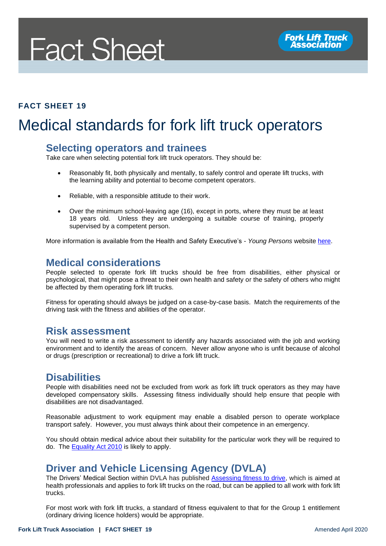# **Fact Sheet**

## **FACT SHEET 19**

# Medical standards for fork lift truck operators

#### **Selecting operators and trainees**

Take care when selecting potential fork lift truck operators. They should be:

- Reasonably fit, both physically and mentally, to safely control and operate lift trucks, with the learning ability and potential to become competent operators.
- Reliable, with a responsible attitude to their work.
- Over the minimum school-leaving age (16), except in ports, where they must be at least 18 years old. Unless they are undergoing a suitable course of training, properly supervised by a competent person.

More information is available from the Health and Safety Executive's - *Young Persons* website [here.](file:///C:/Users/Lee%20Medway/Dropbox%20(FLTA)/FLTA%20Team%20Folder/FLTA%20Documents%20-%20Fact%20Sheets,%20Tech%20Bulletins%20&%20RAs/Fact%20Sheets,%20Techical%20Bulletins%20&%20Risk%20Assessments/Reviewed%20FLTA%20Documents/Reviewed%20Fact%20Sheets/www.hse.gov.uk/youngpeople/index.htm)

### **Medical considerations**

People selected to operate fork lift trucks should be free from disabilities, either physical or psychological, that might pose a threat to their own health and safety or the safety of others who might be affected by them operating fork lift trucks.

Fitness for operating should always be judged on a case-by-case basis. Match the requirements of the driving task with the fitness and abilities of the operator.

#### **Risk assessment**

You will need to write a risk assessment to identify any hazards associated with the job and working environment and to identify the areas of concern. Never allow anyone who is unfit because of alcohol or drugs (prescription or recreational) to drive a fork lift truck.

#### **Disabilities**

People with disabilities need not be excluded from work as fork lift truck operators as they may have developed compensatory skills. Assessing fitness individually should help ensure that people with disabilities are not disadvantaged.

Reasonable adjustment to work equipment may enable a disabled person to operate workplace transport safely. However, you must always think about their competence in an emergency.

You should obtain medical advice about their suitability for the particular work they will be required to do. The [Equality Act 2010](http://www.legislation.gov.uk/ukpga/2010/15/contents) is likely to apply.

# **Driver and Vehicle Licensing Agency (DVLA)**

The Drivers' Medical Section within DVLA has published [Assessing fitness to drive,](https://assets.publishing.service.gov.uk/government/uploads/system/uploads/attachment_data/file/866655/assessing-fitness-to-drive-a-guide-for-medical-professionals.pdf) which is aimed at health professionals and applies to fork lift trucks on the road, but can be applied to all work with fork lift trucks.

For most work with fork lift trucks, a standard of fitness equivalent to that for the Group 1 entitlement (ordinary driving licence holders) would be appropriate.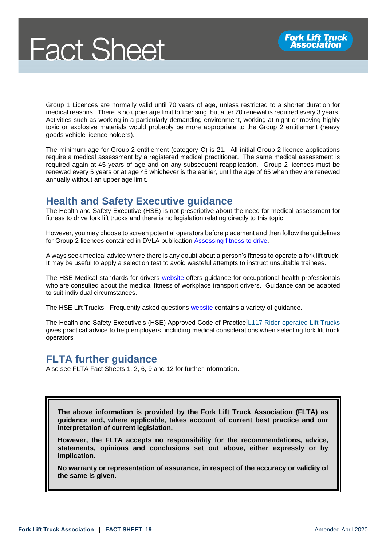Group 1 Licences are normally valid until 70 years of age, unless restricted to a shorter duration for medical reasons. There is no upper age limit to licensing, but after 70 renewal is required every 3 years. Activities such as working in a particularly demanding environment, working at night or moving highly toxic or explosive materials would probably be more appropriate to the Group 2 entitlement (heavy goods vehicle licence holders).

The minimum age for Group 2 entitlement (category C) is 21. All initial Group 2 licence applications require a medical assessment by a registered medical practitioner. The same medical assessment is required again at 45 years of age and on any subsequent reapplication. Group 2 licences must be renewed every 5 years or at age 45 whichever is the earlier, until the age of 65 when they are renewed annually without an upper age limit.

# **Health and Safety Executive guidance**

The Health and Safety Executive (HSE) is not prescriptive about the need for medical assessment for fitness to drive fork lift trucks and there is no legislation relating directly to this topic.

However, you may choose to screen potential operators before placement and then follow the guidelines for Group 2 licences contained in DVLA publication [Assessing fitness to drive.](https://assets.publishing.service.gov.uk/government/uploads/system/uploads/attachment_data/file/866655/assessing-fitness-to-drive-a-guide-for-medical-professionals.pdf)

Always seek medical advice where there is any doubt about a person's fitness to operate a fork lift truck. It may be useful to apply a selection test to avoid wasteful attempts to instruct unsuitable trainees.

The HSE Medical standards for drivers [website](https://www.hse.gov.uk/workplacetransport/personnel/medicalfitness.htm) offers guidance for occupational health professionals who are consulted about the medical fitness of workplace transport drivers. Guidance can be adapted to suit individual circumstances.

The HSE Lift Trucks - Frequently asked questions [website](https://www.hse.gov.uk/workplacetransport/lift-trucks/faqs.htm) contains a variety of guidance.

The Health and Safety Executive's (HSE) Approved Code of Practice [L117 Rider-operated Lift Trucks](http://www.hse.gov.uk/pUbns/priced/l117.pdf) gives practical advice to help employers, including medical considerations when selecting fork lift truck operators*.*

# **FLTA further guidance**

Also see FLTA Fact Sheets 1, 2, 6, 9 and 12 for further information.

**The above information is provided by the Fork Lift Truck Association (FLTA) as guidance and, where applicable, takes account of current best practice and our interpretation of current legislation.** 

**However, the FLTA accepts no responsibility for the recommendations, advice, statements, opinions and conclusions set out above, either expressly or by implication.**

**No warranty or representation of assurance, in respect of the accuracy or validity of the same is given.**